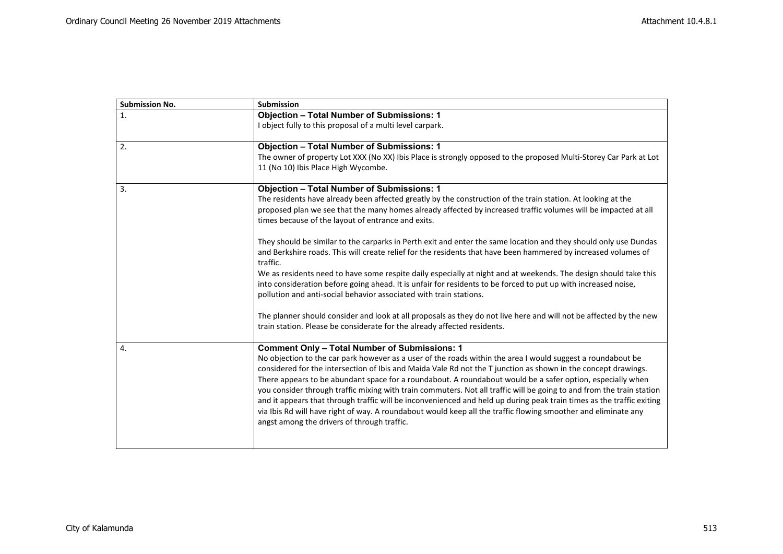| <b>Submission No.</b> | Submission                                                                                                                                                    |
|-----------------------|---------------------------------------------------------------------------------------------------------------------------------------------------------------|
| 1.                    | <b>Objection - Total Number of Submissions: 1</b>                                                                                                             |
|                       | I object fully to this proposal of a multi level carpark.                                                                                                     |
| 2.                    | <b>Objection - Total Number of Submissions: 1</b>                                                                                                             |
|                       | The owner of property Lot XXX (No XX) Ibis Place is strongly opposed to the proposed Multi-Storey Car Park at Lot                                             |
|                       | 11 (No 10) Ibis Place High Wycombe.                                                                                                                           |
| 3.                    | <b>Objection - Total Number of Submissions: 1</b>                                                                                                             |
|                       | The residents have already been affected greatly by the construction of the train station. At looking at the                                                  |
|                       | proposed plan we see that the many homes already affected by increased traffic volumes will be impacted at all                                                |
|                       | times because of the layout of entrance and exits.                                                                                                            |
|                       | They should be similar to the carparks in Perth exit and enter the same location and they should only use Dundas                                              |
|                       | and Berkshire roads. This will create relief for the residents that have been hammered by increased volumes of                                                |
|                       | traffic.                                                                                                                                                      |
|                       | We as residents need to have some respite daily especially at night and at weekends. The design should take this                                              |
|                       | into consideration before going ahead. It is unfair for residents to be forced to put up with increased noise,                                                |
|                       | pollution and anti-social behavior associated with train stations.                                                                                            |
|                       | The planner should consider and look at all proposals as they do not live here and will not be affected by the new                                            |
|                       | train station. Please be considerate for the already affected residents.                                                                                      |
|                       |                                                                                                                                                               |
| 4.                    | <b>Comment Only - Total Number of Submissions: 1</b>                                                                                                          |
|                       | No objection to the car park however as a user of the roads within the area I would suggest a roundabout be                                                   |
|                       | considered for the intersection of Ibis and Maida Vale Rd not the T junction as shown in the concept drawings.                                                |
|                       | There appears to be abundant space for a roundabout. A roundabout would be a safer option, especially when                                                    |
|                       | you consider through traffic mixing with train commuters. Not all traffic will be going to and from the train station                                         |
|                       | and it appears that through traffic will be inconvenienced and held up during peak train times as the traffic exiting                                         |
|                       | via Ibis Rd will have right of way. A roundabout would keep all the traffic flowing smoother and eliminate any<br>angst among the drivers of through traffic. |
|                       |                                                                                                                                                               |
|                       |                                                                                                                                                               |